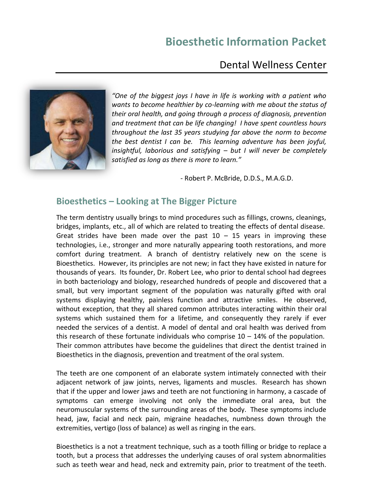# **Bioesthetic Information Packet**

# Dental Wellness Center



*"One of the biggest joys I have in life is working with a patient who wants to become healthier by co-learning with me about the status of their oral health, and going through a process of diagnosis, prevention and treatment that can be life changing! I have spent countless hours throughout the last 35 years studying far above the norm to become the best dentist I can be. This learning adventure has been joyful, insightful, laborious and satisfying – but I will never be completely satisfied as long as there is more to learn."*

 *-* Robert P. McBride, D.D.S., M.A.G.D.

#### **Bioesthetics – Looking at The Bigger Picture**

The term dentistry usually brings to mind procedures such as fillings, crowns, cleanings, bridges, implants, etc., all of which are related to treating the effects of dental disease. Great strides have been made over the past  $10 - 15$  years in improving these technologies, i.e., stronger and more naturally appearing tooth restorations, and more comfort during treatment. A branch of dentistry relatively new on the scene is Bioesthetics. However, its principles are not new; in fact they have existed in nature for thousands of years. Its founder, Dr. Robert Lee, who prior to dental school had degrees in both bacteriology and biology, researched hundreds of people and discovered that a small, but very important segment of the population was naturally gifted with oral systems displaying healthy, painless function and attractive smiles. He observed, without exception, that they all shared common attributes interacting within their oral systems which sustained them for a lifetime, and consequently they rarely if ever needed the services of a dentist. A model of dental and oral health was derived from this research of these fortunate individuals who comprise  $10 - 14%$  of the population. Their common attributes have become the guidelines that direct the dentist trained in Bioesthetics in the diagnosis, prevention and treatment of the oral system.

The teeth are one component of an elaborate system intimately connected with their adjacent network of jaw joints, nerves, ligaments and muscles. Research has shown that if the upper and lower jaws and teeth are not functioning in harmony, a cascade of symptoms can emerge involving not only the immediate oral area, but the neuromuscular systems of the surrounding areas of the body. These symptoms include head, jaw, facial and neck pain, migraine headaches, numbness down through the extremities, vertigo (loss of balance) as well as ringing in the ears.

Bioesthetics is a not a treatment technique, such as a tooth filling or bridge to replace a tooth, but a process that addresses the underlying causes of oral system abnormalities such as teeth wear and head, neck and extremity pain, prior to treatment of the teeth.